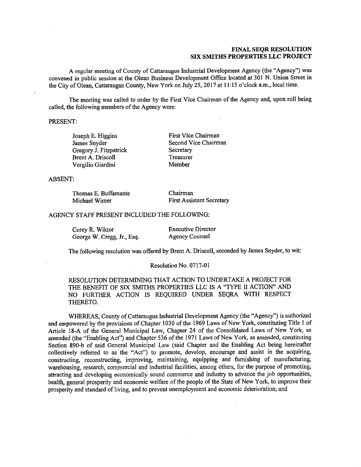## FINAL SEQR RESOLUTION SIX SMITHS PROPERTIES LLC PROJECT

A regular meeting of County of Cattaraugus Industrial Development Agency (the "Agency") was convened in public session at the Olean Business Development Office located at 301 N. Union Street in the City of Olean, Cattaraugus County, New York on July 25, 2017 at 11:15 o'clock a.m., local time.

The meeting was called to order by the First Vice Chairman of the Agency and, upon roll being called, the following members of the Agency were:

PRESENT:

Gregory J. Fitzpatrick Secretary<br>
Brent A. Driscoll Secretary<br>
Treasurer Brent A. Driscoll Treasurer<br>
Vergilio Giardini Member Vergilio Giardini

Joseph E. Higgins First Vice Chairman<br>James Snyder Second Vice Chairm Second Vice Chairman<br>Secretary

ABSENT:

| Thomas E. Buffamante | Chairman                         |
|----------------------|----------------------------------|
| Michael Wimer        | <b>First Assistant Secretary</b> |

### AGENCY STAFF PRESENT INCLUDED THE FOLLOWING:

Corey R. Wiktor<br>George W. Cregg. Jr., Esq. (Agency Counsel George W. Cregg, Jr., Esq.

The following resolution was offered by Brent A. Driscoll, seconded by James Snyder, to wit:

#### Resolution No. 0717-01

RESOLUTION DETERMINING THAT ACTION TO UNDERTAKE A PROJECT FOR THE BENEFIT OF SIX SMITHS PROPERTIES LLC IS A "TYPE II ACTION" AND NO FURTHER ACTION IS REQUIRED UNDER SEQRA WITH RESPECT THERETO.

WHEREAS, County of Cattaraugus Industrial Development Agency (the "Agency") is authorized and empowered by the provisions of Chapter 1030 of the 1969 Laws of New York, constituting Title 1 of Article 18-A of the General Municipal Law, Chapter 24 of the Consolidated Laws of New York, as amended (the "Enabling Act") and Chapter 536 of the 1971 Laws of New York, as amended, constituting Section 890-b of said General Municipal Law (said Chapter and the Enabling Act being hereinafter collectively referred to as the "Act") to promote, develop, encourage and assist in the acquiring, constructing, reconstructing, improving, maintaining, equipping and furnishing of manufacturing, warehousing, research, commercial and industrial facilities, among others, for the purpose of promoting, attracting and developing economically sound commerce and industry to advance the job opportunities, health, general prosperity and economic welfare of the people of the State of New York, to improve their prosperity and standard of living, and to prevent unemployment and economic deterioration; and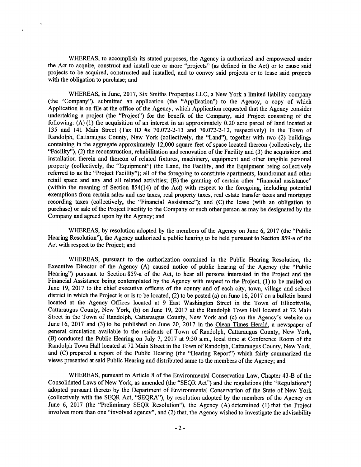WHEREAS, to accomplish its stated purposes, the Agency is authorized and empowered under the Act to acquire, construct and install one or more "projects" (as defined in the Act) or to cause said projects to be acquired, constructed and installed, and to convey said projects or to lease said projects with the obligation to purchase; and

WHEREAS, in June, 2017, Six Smiths Properties LLC, a New York a limited liability company (the "Company"), submitted an application (the "Application") to the Agency, a copy of which Application is on file at the office of the Agency, which Application requested that the Agency consider undertaking a project (the "Project") for the benefit of the Company, said Project consisting of the following: (A) (1) the acquisition of an interest in an approximately 0.20 acre parcel of land located at 135 and 141 Main Street (Tax ID #s 70.072-2-13 and 70.072-2-12, respectively) in the Town of Randolph, Cattaraugus County, New York (collectively, the "Land"), together with two (2) buildings containing in the aggregate approximately 12,000 square feet of space located thereon (collectively, the "Facility"), (2) the reconstruction, rehabilitation and renovation of the Facility and (3) the acquisition and installation therein and thereon of related fixtures, machinery, equipment and other tangible personal property (collectively, the "Equipment") (the Land, the Facility, and the Equipment being collectively referred to as the "Project Facility"); all of the foregoing to constitute apartments, laundromat and other retail space and any and all related activities; (B) the granting of certain other "financial assistance" (within the meaning of Section 854(14) of the Act) with respect to the foregoing, including potential exemptions from certain sales and use taxes, real property taxes, real estate transfer taxes and mortgage recording taxes (collectively, the "Financial Assistance"); and (C) the lease (with an obligation to purchase) or sale of the Project Facility to the Company or such other person as may be designated by the Company and agreed upon by the Agency; and

WHEREAS, by resolution adopted by the members of the Agency on June 6, 2017 (the "Public Hearing Resolution"), the Agency authorized a public hearing to be held pursuant to Section 859-a of the Act with respect to the Project; and

WHEREAS, pursuant to the authorization contained in the Public Hearing Resolution, the Executive Director of the Agency (A) caused notice of public hearing of the Agency (the "Public Hearing") pursuant to Section 859-a of the Act, to hear all persons interested in the Project and the Financial Assistance being contemplated by the Agency with respect to the Project, (I) to be mailed on June 19, 2017 to the chief executive officers of the county and of each city, town, village and school district in which the Project is or is to be located, (2) to be posted (a) on June 16, 2017 on a bulletin board located at the Agency Offices located at 9 Fast Washington Street in the Town of Ellicottville, Cattaraugus County, New York, (b) on June 19, 2017 at the Randolph Town Hall located at 72 Main Street in the Town of Randolph, Cattaraugus County, New York and (c) on the Agency's website on June 16, 2017 and (3) to be published on June 20, 2017 in the Olean Times Herald, a newspaper of general circulation available to the residents of Town of Randolph, Cattaraugus County, New York, (B) conducted the Public Hearing on July 7, 2017 at 9:30 a.m., local time at Conference Room of the Randolph Town Hall located at 72 Main Street in the Town of Randolph, Cattaraugus County, New York, and (C) prepared a report of the Public Hearing (the "Hearing Report") which fairly summarized the views presented at said Public Hearing and distributed same to the members of the Agency; and

WHEREAS, pursuant to Article 8 of the Environmental Conservation Law, Chapter 43-B of the Consolidated Laws of New York, as amended (the "SEQR Act") and the regulations (the "Regulations") adopted pursuant thereto by the Department of Environmental Conservation of the State of New York (collectively with the SEQR Act, "SEQRA"), by resolution adopted by the members of the Agency on June 6, 2017 (the "Preliminary SEQR Resolution"), the Agency (A) determined (1) that the Project involves more than one "involved agency", and (2) that, the Agency wished to investigate the advisability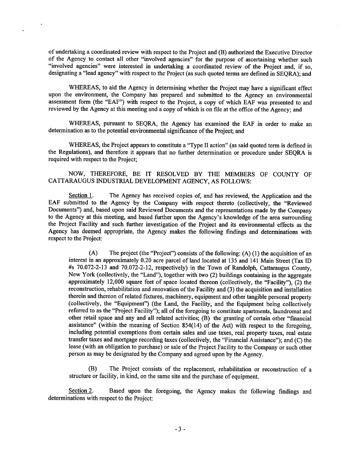of undertaking a coordinated review with respect to the Project and (B) authorized the Executive Director of the Agency to contact all other "involved agencies" for the purpose of ascertaining whether such "involved agencies" were interested in undertaking a coordinated review of the Project and, if so, designating a "lead agency" with respect to the Project (as such quoted terms are defined in SEQRA); and

WHEREAS, to aid the Agency in determining whether the Project may have a significant effect upon the environment, the Company has prepared and submitted to the Agency an environmental assessment form (the "EAF") with respect to the Project, a copy of which EAF was presented to and reviewed by the Agency at this meeting and a copy of which is on file at the office of the Agency; and

WHEREAS, pursuant to SEQRA, the Agency has examined the EAF in order to make an determination as to the potential environmental significance of the Project; and

WHEREAS, the Project appears to constitute a "Type II action" (as said quoted term is defined in the Regulations), and therefore it appears that no further determination or procedure under SEQRA is required with respect to the Project;

## NOW, THEREFORE, BE IT RESOLVED BY THE MEMBERS OF COUNTY OF CATTARAUGUS INDUSTRIAL DEVELOPMENT AGENCY, AS FOLLOWS:

Section 1. The Agency has received copies of, and has reviewed, the Application and the EAF submitted to the Agency by the Company with respect thereto (collectively, the "Reviewed Documents") and, based upon said Reviewed Documents and the representations made by the Company to the Agency at this meeting, and based further upon the Agency's knowledge of the area surrounding the Project Facility and such further investigation of the Project and its environmental effects as the Agency has deemed appropriate, the Agency makes the following findings and determinations with respect to the Project:

(A) The project (the "Project") consists of the following: (A) (1) the acquisition of an interest in an approximately 0.20 acre parcel of land located at 135 and 141 Main Street (Tax ID #s 70.072-2-13 and 70.072-2-12, respectively) in the Town of Randolph, Cattaraugus County, New York (collectively, the "Land"), together with two (2) buildings containing in the aggregate approximately 12,000 square feet of space located thereon (collectively, the "Facility"), (2) the reconstruction, rehabilitation and renovation of the Facility and (3) the acquisition and installation therein and thereon of related fixtures, machinery, equipment and other tangible personal property (collectively, the "Equipment") (the Land, the Facility, and the Equipment being collectively referred to as the "Project Facility"); all of the foregoing to constitute apartments, laundromat and other retail space and any and all related activities; (B) the granting of certain other "financial assistance" (within the meaning of Section 854(14) of the Act) with respect to the foregoing, including potential exemptions from certain sales and use taxes, real property taxes, real estate transfer taxes and mortgage recording taxes (collectively, the "Financial Assistance"); and (C) the lease (with an obligation to purchase) or sale of the Project Facility to the Company or such other person as may be designated by the Company and agreed upon by the Agency.

(B) The Project consists of the replacement, rehabilitation or reconstruction of a structure or facility, in kind, on the same site and the purchase of equipment.

Section 2. Based upon the foregoing, the Agency makes the following findings and determinations with respect to the Project: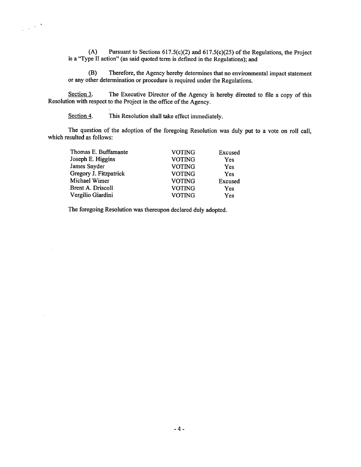(A) Pursuant to Sections 617.5(c)(2) and 617.5(c)(25) of the Regulations, the Project is a "Type II action" (as said quoted term is defined in the Regulations); and

(B) Therefore, the Agency hereby determines that no environmental impact statement or any other determination or procedure is required under the Regulations.

Section 3. The Executive Director of the Agency is hereby directed to file a copy of this Resolution with respect to the Project in the office of the Agency.

Section 4. This Resolution shall take effect immediately.

 $\frac{1}{2} \left( \frac{1}{2} \right)^{\frac{1}{2}}$  ,  $\frac{1}{2}$ 

The question of the adoption of the foregoing Resolution was duly put to a vote on roll call, which resulted as follows:

| Thomas E. Buffamante   | <b>VOTING</b> | Excused |
|------------------------|---------------|---------|
| Joseph E. Higgins      | <b>VOTING</b> | Yes     |
| James Snyder           | <b>VOTING</b> | Yes     |
| Gregory J. Fitzpatrick | <b>VOTING</b> | Yes     |
| Michael Wimer          | <b>VOTING</b> | Excused |
| Brent A. Driscoll      | <b>VOTING</b> | Yes     |
| Vergilio Giardini      | <b>VOTING</b> | Yes     |
|                        |               |         |

The foregoing Resolution was thereupon declared duly adopted.